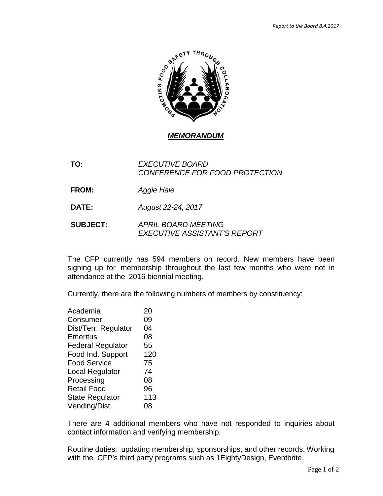

*MEMORANDUM*

**TO:** *EXECUTIVE BOARD CONFERENCE FOR FOOD PROTECTION*

**FROM:** *Aggie Hale*

**DATE:** *August 22-24, 2017*

**SUBJECT:** *APRIL BOARD MEETING EXECUTIVE ASSISTANT'S REPORT*

The CFP currently has 594 members on record. New members have been signing up for membership throughout the last few months who were not in attendance at the 2016 biennial meeting.

Currently, there are the following numbers of members by constituency:

| Academia                 | 20  |
|--------------------------|-----|
| Consumer                 | 09  |
| Dist/Terr. Regulator     | 04  |
| Emeritus                 | 08  |
| <b>Federal Regulator</b> | 55  |
| Food Ind. Support        | 120 |
| <b>Food Service</b>      | 75  |
| Local Regulator          | 74  |
| Processing               | 08  |
| <b>Retail Food</b>       | 96  |
| <b>State Regulator</b>   | 113 |
| Vending/Dist.            | 08  |

There are 4 additional members who have not responded to inquiries about contact information and verifying membership.

Routine duties: updating membership, sponsorships, and other records. Working with the CFP's third party programs such as 1EightyDesign, Eventbrite,